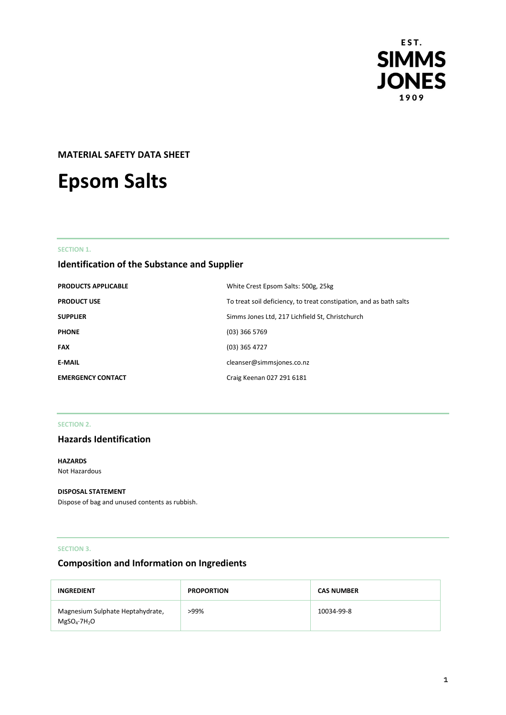

# **MATERIAL SAFETY DATA SHEET**

# **Epsom Salts**

## **SECTION 1.**

# **Identification of the Substance and Supplier**

| <b>PRODUCTS APPLICABLE</b> | White Crest Epsom Salts: 500g, 25kg                                |
|----------------------------|--------------------------------------------------------------------|
| <b>PRODUCT USE</b>         | To treat soil deficiency, to treat constipation, and as bath salts |
| <b>SUPPLIER</b>            | Simms Jones Ltd, 217 Lichfield St, Christchurch                    |
| <b>PHONE</b>               | $(03)$ 366 5769                                                    |
| <b>FAX</b>                 | $(03)$ 365 4727                                                    |
| <b>E-MAIL</b>              | cleanser@simmsjones.co.nz                                          |
| <b>EMERGENCY CONTACT</b>   | Craig Keenan 027 291 6181                                          |

## **SECTION 2.**

## **Hazards Identification**

**HAZARDS** Not Hazardous

#### **DISPOSAL STATEMENT**

Dispose of bag and unused contents as rubbish.

## **SECTION 3.**

# **Composition and Information on Ingredients**

| INGREDIENT                                               | <b>PROPORTION</b> | <b>CAS NUMBER</b> |
|----------------------------------------------------------|-------------------|-------------------|
| Magnesium Sulphate Heptahydrate,<br>$MgSO_4 \cdot 7H_2O$ | >99%              | 10034-99-8        |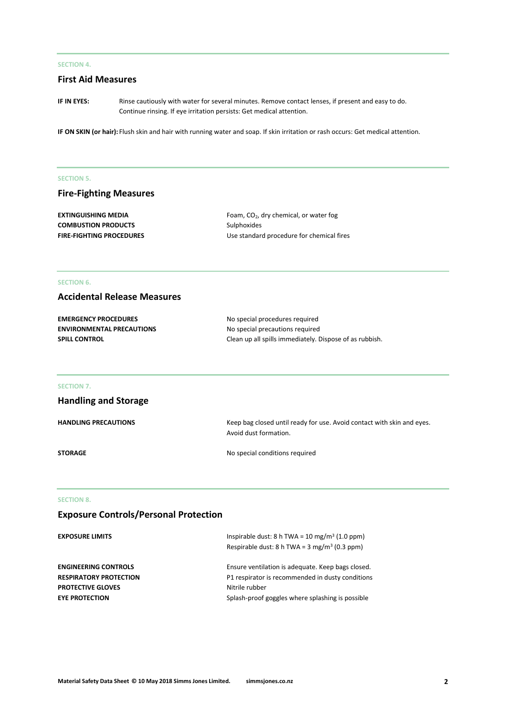## **SECTION 4.**

## **First Aid Measures**

**IF IN EYES:** Rinse cautiously with water for several minutes. Remove contact lenses, if present and easy to do. Continue rinsing. If eye irritation persists: Get medical attention.

**IF ON SKIN (or hair):** Flush skin and hair with running water and soap. If skin irritation or rash occurs: Get medical attention.

#### **SECTION 5.**

## **Fire-Fighting Measures**

| <b>EXTINGUISHING MEDIA</b>      | Foam, $CO2$ , dry chemical, or water fog  |
|---------------------------------|-------------------------------------------|
| <b>COMBUSTION PRODUCTS</b>      | Sulphoxides                               |
| <b>FIRE-FIGHTING PROCEDURES</b> | Use standard procedure for chemical fires |

## **SECTION 6.**

## **Accidental Release Measures**

| <b>EMERGENCY PROCEDURES</b>      | No special procedures required                          |
|----------------------------------|---------------------------------------------------------|
| <b>ENVIRONMENTAL PRECAUTIONS</b> | No special precautions required                         |
| <b>SPILL CONTROL</b>             | Clean up all spills immediately. Dispose of as rubbish. |

#### **SECTION 7.**

| <b>Handling and Storage</b> |                                                                                                 |
|-----------------------------|-------------------------------------------------------------------------------------------------|
| <b>HANDLING PRECAUTIONS</b> | Keep bag closed until ready for use. Avoid contact with skin and eyes.<br>Avoid dust formation. |
| <b>STORAGE</b>              | No special conditions required                                                                  |

# **SECTION 8.**

# **Exposure Controls/Personal Protection**

| <b>EXPOSURE LIMITS</b>        | Inspirable dust: $8 h TWA = 10 mg/m3 (1.0 ppm)$<br>Respirable dust: 8 h TWA = $3 \text{ mg/m}^3$ (0.3 ppm) |
|-------------------------------|------------------------------------------------------------------------------------------------------------|
|                               |                                                                                                            |
| <b>ENGINEERING CONTROLS</b>   | Ensure ventilation is adequate. Keep bags closed.                                                          |
| <b>RESPIRATORY PROTECTION</b> | P1 respirator is recommended in dusty conditions                                                           |
| <b>PROTECTIVE GLOVES</b>      | Nitrile rubber                                                                                             |
| <b>EYE PROTECTION</b>         | Splash-proof goggles where splashing is possible                                                           |
|                               |                                                                                                            |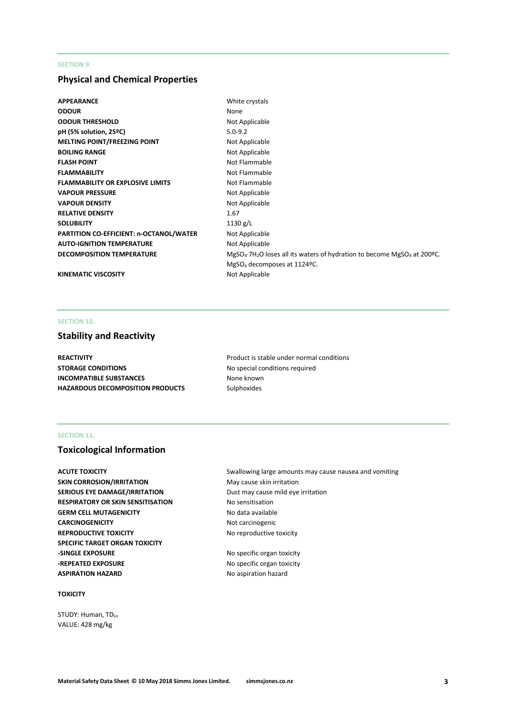## **SECTION 9.**

## **Physical and Chemical Properties**

| <b>APPEARANCE</b>                       | White crystals                                                                             |
|-----------------------------------------|--------------------------------------------------------------------------------------------|
| <b>ODOUR</b>                            | None                                                                                       |
| <b>ODOUR THRESHOLD</b>                  | Not Applicable                                                                             |
| pH (5% solution, 25°C)                  | $5.0 - 9.2$                                                                                |
| <b>MELTING POINT/FREEZING POINT</b>     | Not Applicable                                                                             |
| <b>BOILING RANGE</b>                    | Not Applicable                                                                             |
| <b>FLASH POINT</b>                      | Not Flammable                                                                              |
| <b>FLAMMABILITY</b>                     | Not Flammable                                                                              |
| <b>FLAMMABILITY OR EXPLOSIVE LIMITS</b> | Not Flammable                                                                              |
| <b>VAPOUR PRESSURE</b>                  | Not Applicable                                                                             |
| <b>VAPOUR DENSITY</b>                   | Not Applicable                                                                             |
| <b>RELATIVE DENSITY</b>                 | 1.67                                                                                       |
| <b>SOLUBILITY</b>                       | 1130 $g/L$                                                                                 |
| PARTITION CO-EFFICIENT: n-OCTANOL/WATER | Not Applicable                                                                             |
| <b>AUTO-IGNITION TEMPERATURE</b>        | Not Applicable                                                                             |
| <b>DECOMPOSITION TEMPERATURE</b>        | $MgSO_4$ .7H <sub>2</sub> O loses all its waters of hydration to become $MgSO_4$ at 200ºC. |
|                                         | MgSO <sub>4</sub> decomposes at 1124ºC.                                                    |
| <b>KINEMATIC VISCOSITY</b>              | Not Applicable                                                                             |

## **SECTION 10.**

## **Stability and Reactivity**

**REACTIVITY Product is stable under normal conditions STORAGE CONDITIONS** No special conditions required **INCOMPATIBLE SUBSTANCES** None known **HAZARDOUS DECOMPOSITION PRODUCTS** Sulphoxides

## **SECTION 11.**

## **Toxicological Information**

**SKIN CORROSION/IRRITATION** May cause skin irritation **SERIOUS EYE DAMAGE/IRRITATION** Dust may cause mild eye irritation **RESPIRATORY OR SKIN SENSITISATION No sensitisation GERM CELL MUTAGENICITY** No data available **CARCINOGENICITY** Not carcinogenic **REPRODUCTIVE TOXICITY No reproductive toxicity SPECIFIC TARGET ORGAN TOXICITY -SINGLE EXPOSURE** No specific organ toxicity **-REPEATED EXPOSURE** No specific organ toxicity **ASPIRATION HAZARD** No aspiration hazard

## **TOXICITY**

STUDY: Human, TDLo VALUE: 428 mg/kg

**ACUTE TOXICITY Swallowing large amounts may cause nausea and vomiting ACUTE TOXICITY**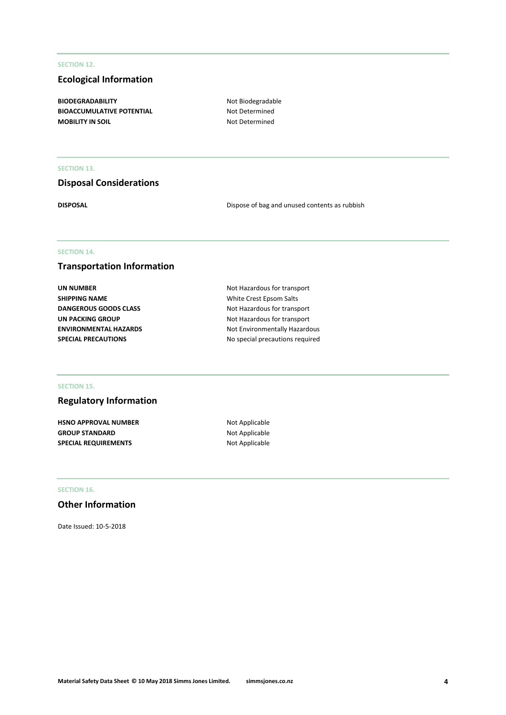#### **SECTION 12.**

## **Ecological Information**

BIODEGRADABILITY **Not Biodegradable BIOACCUMULATIVE POTENTIAL** Not Determined **MOBILITY IN SOIL** MOBILITY IN SOIL

## **SECTION 13.**

# **Disposal Considerations**

**DISPOSAL** Dispose of bag and unused contents as rubbish

## **SECTION 14.**

## **Transportation Information**

| UN NUMBER                    |
|------------------------------|
| SHIPPING NAME                |
| <b>DANGEROUS GOODS CLASS</b> |
| UN PACKING GROUP             |
| ENVIRONMENTAL HAZARDS        |
| <b>SPECIAL PRECAUTIONS</b>   |

**Not Hazardous for transport White Crest Epsom Salts Not Hazardous for transport Not Hazardous for transport Not Environmentally Hazardous SPECIAL PRECAUTIONS** No special precautions required

#### **SECTION 15.**

## **Regulatory Information**

**HSNO APPROVAL NUMBER** Not Applicable **GROUP STANDARD** Not Applicable **SPECIAL REQUIREMENTS** Not Applicable

## **SECTION 16.**

## **Other Information**

Date Issued: 10-5-2018